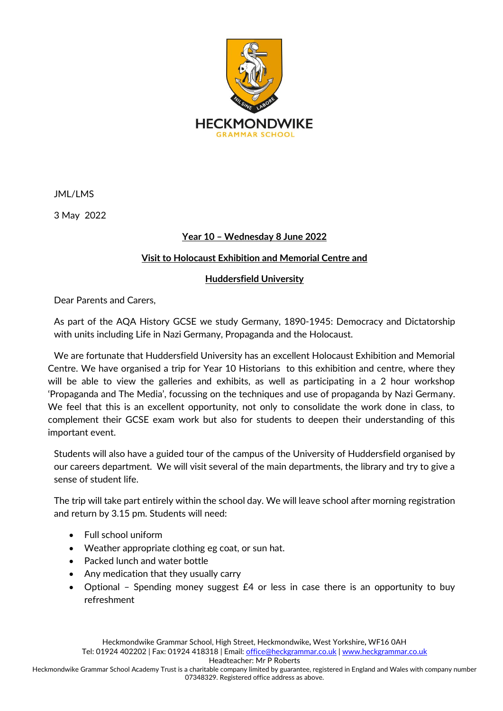

JML/LMS

3 May 2022

# **Year 10 – Wednesday 8 June 2022**

# **Visit to Holocaust Exhibition and Memorial Centre and**

## **Huddersfield University**

Dear Parents and Carers,

As part of the AQA History GCSE we study Germany, 1890-1945: Democracy and Dictatorship with units including Life in Nazi Germany, Propaganda and the Holocaust.

We are fortunate that Huddersfield University has an excellent Holocaust Exhibition and Memorial Centre. We have organised a trip for Year 10 Historians to this exhibition and centre, where they will be able to view the galleries and exhibits, as well as participating in a 2 hour workshop 'Propaganda and The Media', focussing on the techniques and use of propaganda by Nazi Germany. We feel that this is an excellent opportunity, not only to consolidate the work done in class, to complement their GCSE exam work but also for students to deepen their understanding of this important event.

Students will also have a guided tour of the campus of the University of Huddersfield organised by our careers department. We will visit several of the main departments, the library and try to give a sense of student life.

The trip will take part entirely within the school day. We will leave school after morning registration and return by 3.15 pm. Students will need:

- Full school uniform
- Weather appropriate clothing eg coat, or sun hat.
- Packed lunch and water bottle
- Any medication that they usually carry
- Optional Spending money suggest £4 or less in case there is an opportunity to buy refreshment

Headteacher: Mr P Roberts